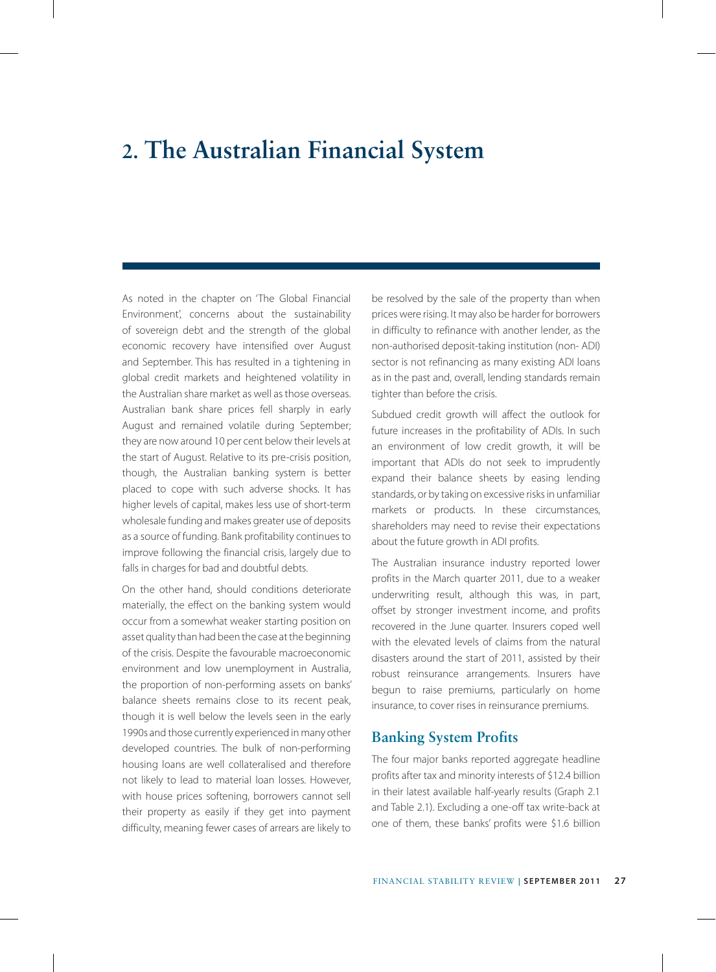## **2. The Australian Financial System**

As noted in the chapter on 'The Global Financial Environment', concerns about the sustainability of sovereign debt and the strength of the global economic recovery have intensified over August and September. This has resulted in a tightening in global credit markets and heightened volatility in the Australian share market as well as those overseas. Australian bank share prices fell sharply in early August and remained volatile during September; they are now around 10 per cent below their levels at the start of August. Relative to its pre-crisis position, though, the Australian banking system is better placed to cope with such adverse shocks. It has higher levels of capital, makes less use of short-term wholesale funding and makes greater use of deposits as a source of funding. Bank profitability continues to improve following the financial crisis, largely due to falls in charges for bad and doubtful debts.

On the other hand, should conditions deteriorate materially, the effect on the banking system would occur from a somewhat weaker starting position on asset quality than had been the case at the beginning of the crisis. Despite the favourable macroeconomic environment and low unemployment in Australia, the proportion of non-performing assets on banks' balance sheets remains close to its recent peak, though it is well below the levels seen in the early 1990s and those currently experienced in many other developed countries. The bulk of non-performing housing loans are well collateralised and therefore not likely to lead to material loan losses. However, with house prices softening, borrowers cannot sell their property as easily if they get into payment difficulty, meaning fewer cases of arrears are likely to

be resolved by the sale of the property than when prices were rising. It may also be harder for borrowers in difficulty to refinance with another lender, as the non-authorised deposit-taking institution (non- ADI) sector is not refinancing as many existing ADI loans as in the past and, overall, lending standards remain tighter than before the crisis.

Subdued credit growth will affect the outlook for future increases in the profitability of ADIs. In such an environment of low credit growth, it will be important that ADIs do not seek to imprudently expand their balance sheets by easing lending standards, or by taking on excessive risks in unfamiliar markets or products. In these circumstances, shareholders may need to revise their expectations about the future growth in ADI profits.

The Australian insurance industry reported lower profits in the March quarter 2011, due to a weaker underwriting result, although this was, in part, offset by stronger investment income, and profits recovered in the June quarter. Insurers coped well with the elevated levels of claims from the natural disasters around the start of 2011, assisted by their robust reinsurance arrangements. Insurers have begun to raise premiums, particularly on home insurance, to cover rises in reinsurance premiums.

#### **Banking System Profits**

The four major banks reported aggregate headline profits after tax and minority interests of \$12.4 billion in their latest available half-yearly results (Graph 2.1 and Table 2.1). Excluding a one-off tax write-back at one of them, these banks' profits were \$1.6 billion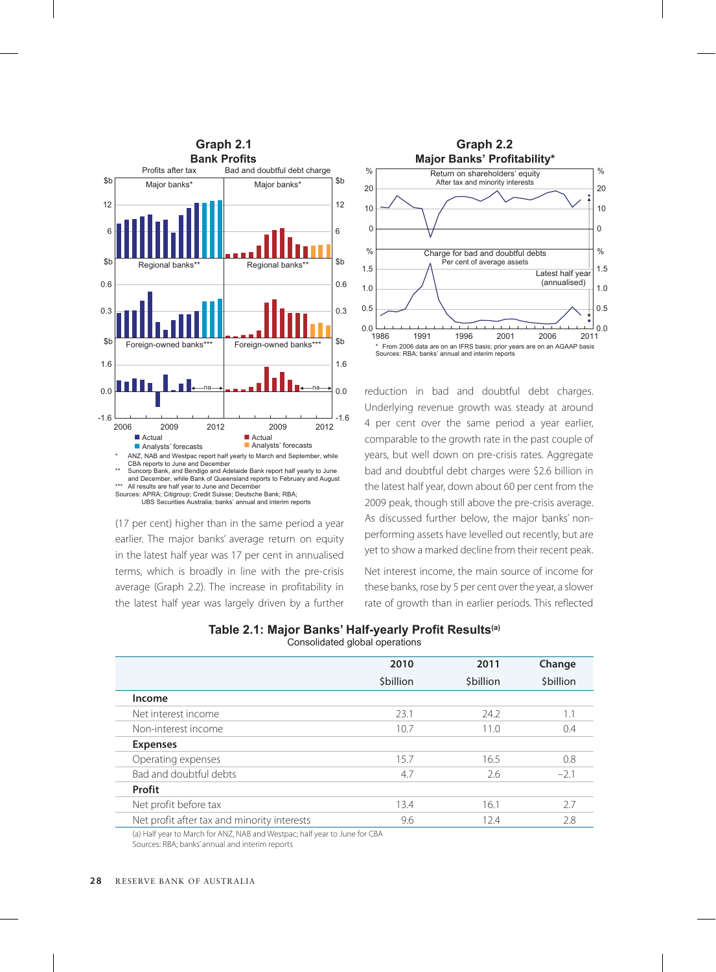

(17 per cent) higher than in the same period a year earlier. The major banks' average return on equity in the latest half year was 17 per cent in annualised terms, which is broadly in line with the pre-crisis average (Graph 2.2). The increase in profitability in the latest half year was largely driven by a further



reduction in bad and doubtful debt charges. Underlying revenue growth was steady at around 4 per cent over the same period a year earlier, comparable to the growth rate in the past couple of years, but well down on pre-crisis rates. Aggregate bad and doubtful debt charges were \$2.6 billion in the latest half year, down about 60 per cent from the 2009 peak, though still above the pre-crisis average. As discussed further below, the major banks' nonperforming assets have levelled out recently, but are yet to show a marked decline from their recent peak.

Net interest income, the main source of income for these banks, rose by 5 per cent over the year, a slower rate of growth than in earlier periods. This reflected

| Table 2.1: Major Banks' Half-yearly Profit Results <sup>(a)</sup> |                                |  |
|-------------------------------------------------------------------|--------------------------------|--|
|                                                                   | Consolidated global operations |  |

|                                             | 2010            | 2011            | Change          |
|---------------------------------------------|-----------------|-----------------|-----------------|
|                                             | <b>Sbillion</b> | <b>Sbillion</b> | <b>Sbillion</b> |
| Income                                      |                 |                 |                 |
| Net interest income                         | 23.1            | 24.2            | 1.1             |
| Non-interest income                         | 10.7            | 11.0            | 0.4             |
| <b>Expenses</b>                             |                 |                 |                 |
| Operating expenses                          | 15.7            | 16.5            | 0.8             |
| Bad and doubtful debts                      | 4.7             | 2.6             | $-2.1$          |
| Profit                                      |                 |                 |                 |
| Net profit before tax                       | 13.4            | 16.1            | 2.7             |
| Net profit after tax and minority interests | 9.6             | 12.4            | 2.8             |
|                                             |                 |                 |                 |

(a) Half year to March for ANZ, NAB and Westpac; half year to June for CBA

Sources: RBA; banks' annual and interim reports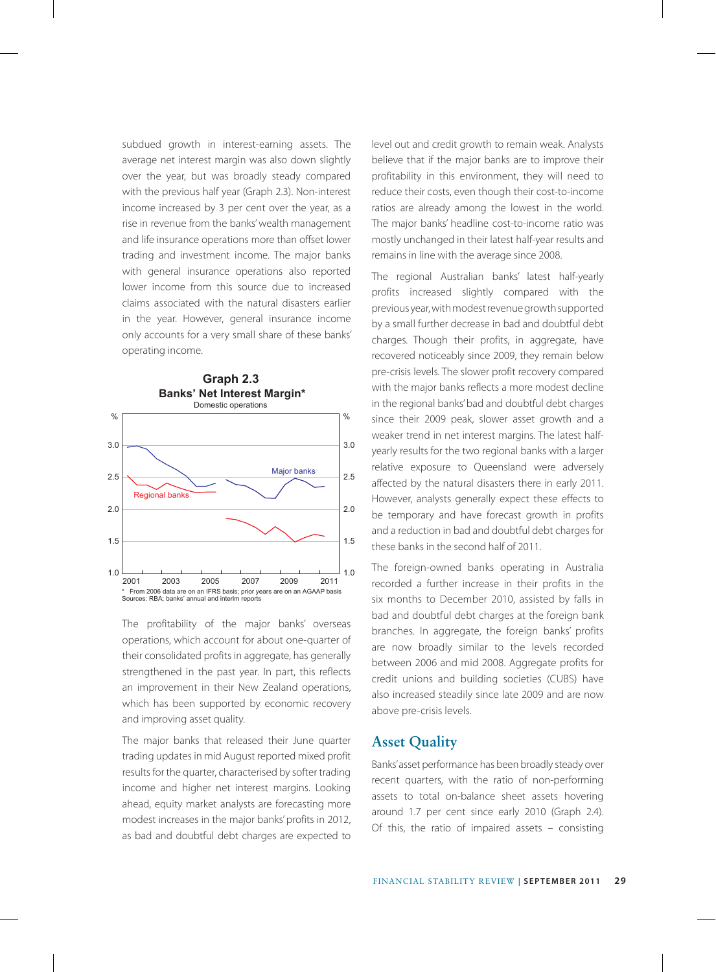subdued growth in interest-earning assets. The average net interest margin was also down slightly over the year, but was broadly steady compared with the previous half year (Graph 2.3). Non-interest income increased by 3 per cent over the year, as a rise in revenue from the banks' wealth management and life insurance operations more than offset lower trading and investment income. The major banks with general insurance operations also reported lower income from this source due to increased claims associated with the natural disasters earlier in the year. However, general insurance income only accounts for a very small share of these banks' operating income.



The profitability of the major banks' overseas operations, which account for about one-quarter of their consolidated profits in aggregate, has generally strengthened in the past year. In part, this reflects an improvement in their New Zealand operations, which has been supported by economic recovery and improving asset quality.

The major banks that released their June quarter trading updates in mid August reported mixed profit results for the quarter, characterised by softer trading income and higher net interest margins. Looking ahead, equity market analysts are forecasting more modest increases in the major banks' profits in 2012, as bad and doubtful debt charges are expected to

level out and credit growth to remain weak. Analysts believe that if the major banks are to improve their profitability in this environment, they will need to reduce their costs, even though their cost-to-income ratios are already among the lowest in the world. The major banks' headline cost-to-income ratio was mostly unchanged in their latest half-year results and remains in line with the average since 2008.

The regional Australian banks' latest half-yearly profits increased slightly compared with the previous year, with modest revenue growth supported by a small further decrease in bad and doubtful debt charges. Though their profits, in aggregate, have recovered noticeably since 2009, they remain below pre-crisis levels. The slower profit recovery compared with the major banks reflects a more modest decline in the regional banks' bad and doubtful debt charges since their 2009 peak, slower asset growth and a weaker trend in net interest margins. The latest halfyearly results for the two regional banks with a larger relative exposure to Queensland were adversely affected by the natural disasters there in early 2011. However, analysts generally expect these effects to be temporary and have forecast growth in profits and a reduction in bad and doubtful debt charges for these banks in the second half of 2011.

The foreign-owned banks operating in Australia recorded a further increase in their profits in the six months to December 2010, assisted by falls in bad and doubtful debt charges at the foreign bank branches. In aggregate, the foreign banks' profits are now broadly similar to the levels recorded between 2006 and mid 2008. Aggregate profits for credit unions and building societies (CUBS) have also increased steadily since late 2009 and are now above pre-crisis levels.

#### **Asset Quality**

Banks' asset performance has been broadly steady over recent quarters, with the ratio of non-performing assets to total on-balance sheet assets hovering around 1.7 per cent since early 2010 (Graph 2.4). Of this, the ratio of impaired assets – consisting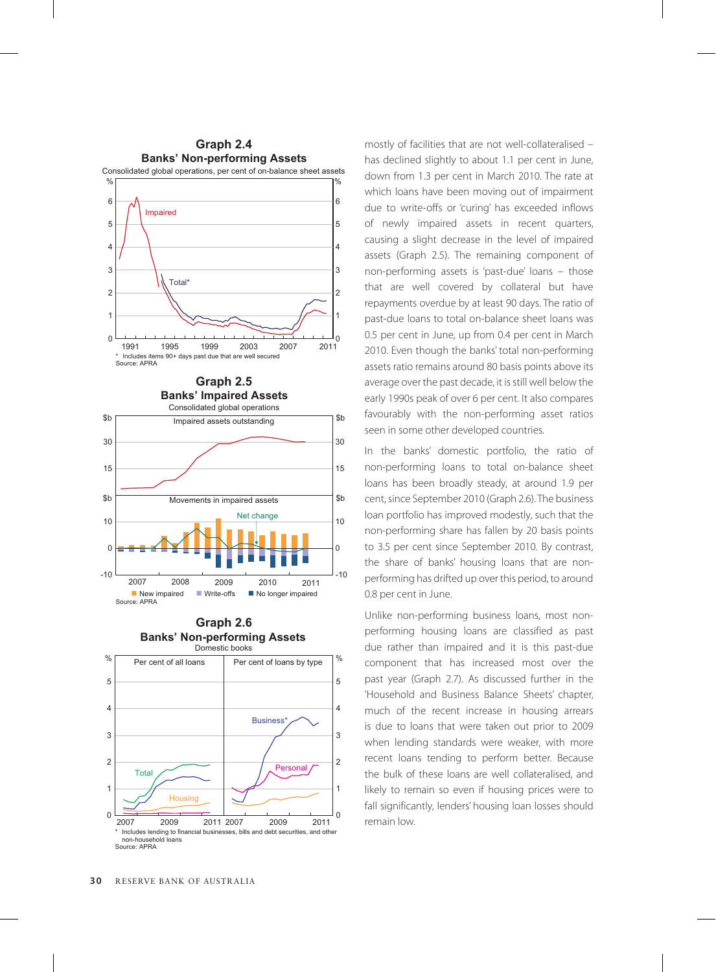



**Banks' Non-performing Assets Graph 2.6**



non-household loans Source: APRA

mostly of facilities that are not well-collateralised – has declined slightly to about 1.1 per cent in June, down from 1.3 per cent in March 2010. The rate at which loans have been moving out of impairment due to write-offs or 'curing' has exceeded inflows of newly impaired assets in recent quarters, causing a slight decrease in the level of impaired assets (Graph 2.5). The remaining component of non-performing assets is 'past-due' loans – those that are well covered by collateral but have repayments overdue by at least 90 days. The ratio of past-due loans to total on-balance sheet loans was 0.5 per cent in June, up from 0.4 per cent in March 2010. Even though the banks' total non-performing assets ratio remains around 80 basis points above its average over the past decade, it is still well below the early 1990s peak of over 6 per cent. It also compares favourably with the non-performing asset ratios seen in some other developed countries.

In the banks' domestic portfolio, the ratio of non-performing loans to total on-balance sheet loans has been broadly steady, at around 1.9 per cent, since September 2010 (Graph 2.6). The business loan portfolio has improved modestly, such that the non-performing share has fallen by 20 basis points to 3.5 per cent since September 2010. By contrast, the share of banks' housing loans that are nonperforming has drifted up over this period, to around 0.8 per cent in June.

Unlike non-performing business loans, most nonperforming housing loans are classified as past due rather than impaired and it is this past-due component that has increased most over the past year (Graph 2.7). As discussed further in the 'Household and Business Balance Sheets' chapter, much of the recent increase in housing arrears is due to loans that were taken out prior to 2009 when lending standards were weaker, with more recent loans tending to perform better. Because the bulk of these loans are well collateralised, and likely to remain so even if housing prices were to fall significantly, lenders' housing loan losses should remain low.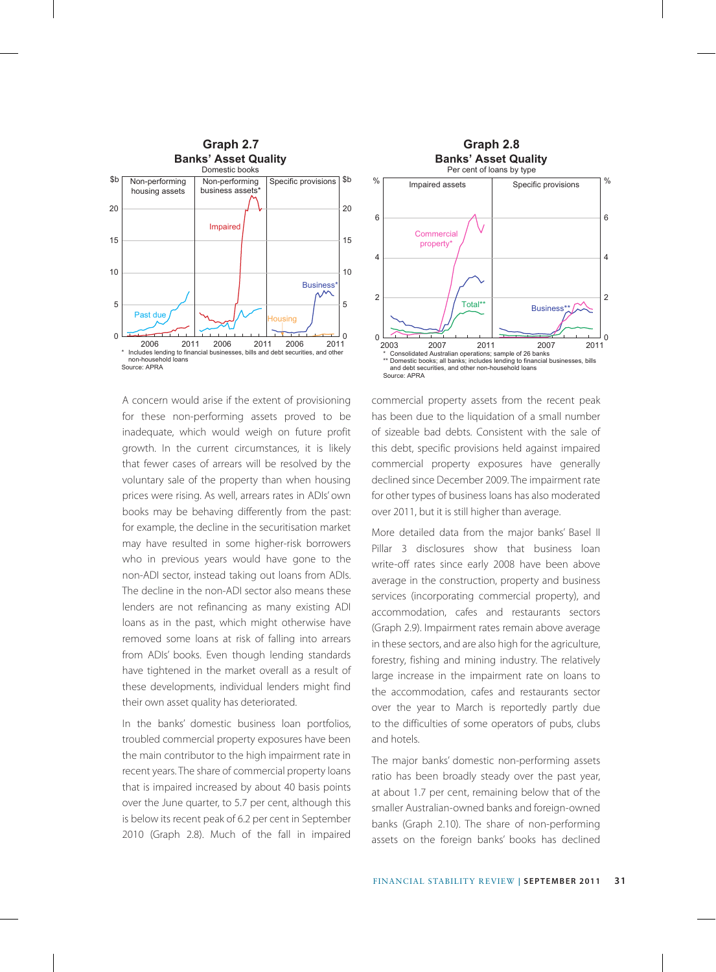

A concern would arise if the extent of provisioning for these non-performing assets proved to be inadequate, which would weigh on future profit growth. In the current circumstances, it is likely that fewer cases of arrears will be resolved by the voluntary sale of the property than when housing prices were rising. As well, arrears rates in ADIs' own books may be behaving differently from the past: for example, the decline in the securitisation market may have resulted in some higher-risk borrowers who in previous years would have gone to the non-ADI sector, instead taking out loans from ADIs. The decline in the non-ADI sector also means these lenders are not refinancing as many existing ADI loans as in the past, which might otherwise have removed some loans at risk of falling into arrears from ADIs' books. Even though lending standards have tightened in the market overall as a result of these developments, individual lenders might find their own asset quality has deteriorated.

In the banks' domestic business loan portfolios, troubled commercial property exposures have been the main contributor to the high impairment rate in recent years. The share of commercial property loans that is impaired increased by about 40 basis points over the June quarter, to 5.7 per cent, although this is below its recent peak of 6.2 per cent in September 2010 (Graph 2.8). Much of the fall in impaired



commercial property assets from the recent peak has been due to the liquidation of a small number of sizeable bad debts. Consistent with the sale of this debt, specific provisions held against impaired commercial property exposures have generally declined since December 2009. The impairment rate for other types of business loans has also moderated over 2011, but it is still higher than average.

More detailed data from the major banks' Basel II Pillar 3 disclosures show that business loan write-off rates since early 2008 have been above average in the construction, property and business services (incorporating commercial property), and accommodation, cafes and restaurants sectors (Graph 2.9). Impairment rates remain above average in these sectors, and are also high for the agriculture, forestry, fishing and mining industry. The relatively large increase in the impairment rate on loans to the accommodation, cafes and restaurants sector over the year to March is reportedly partly due to the difficulties of some operators of pubs, clubs and hotels.

The major banks' domestic non-performing assets ratio has been broadly steady over the past year, at about 1.7 per cent, remaining below that of the smaller Australian-owned banks and foreign-owned banks (Graph 2.10). The share of non-performing assets on the foreign banks' books has declined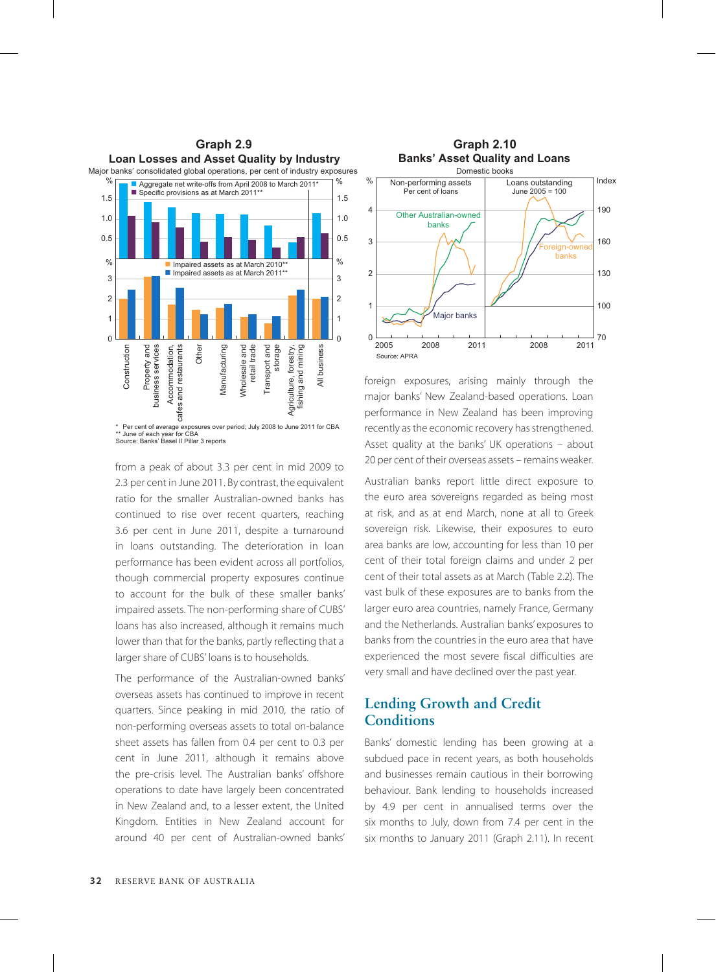

from a peak of about 3.3 per cent in mid 2009 to 2.3 per cent in June 2011. By contrast, the equivalent ratio for the smaller Australian-owned banks has continued to rise over recent quarters, reaching 3.6 per cent in June 2011, despite a turnaround in loans outstanding. The deterioration in loan performance has been evident across all portfolios, though commercial property exposures continue to account for the bulk of these smaller banks' impaired assets. The non-performing share of CUBS' loans has also increased, although it remains much lower than that for the banks, partly reflecting that a larger share of CUBS' loans is to households.

The performance of the Australian-owned banks' overseas assets has continued to improve in recent quarters. Since peaking in mid 2010, the ratio of non-performing overseas assets to total on-balance sheet assets has fallen from 0.4 per cent to 0.3 per cent in June 2011, although it remains above the pre-crisis level. The Australian banks' offshore operations to date have largely been concentrated in New Zealand and, to a lesser extent, the United Kingdom. Entities in New Zealand account for around 40 per cent of Australian-owned banks'



foreign exposures, arising mainly through the major banks' New Zealand-based operations. Loan performance in New Zealand has been improving recently as the economic recovery has strengthened. Asset quality at the banks' UK operations – about 20 per cent of their overseas assets – remains weaker.

Australian banks report little direct exposure to the euro area sovereigns regarded as being most at risk, and as at end March, none at all to Greek sovereign risk. Likewise, their exposures to euro area banks are low, accounting for less than 10 per cent of their total foreign claims and under 2 per cent of their total assets as at March (Table 2.2). The vast bulk of these exposures are to banks from the larger euro area countries, namely France, Germany and the Netherlands. Australian banks' exposures to banks from the countries in the euro area that have experienced the most severe fiscal difficulties are very small and have declined over the past year.

### **Lending Growth and Credit Conditions**

Banks' domestic lending has been growing at a subdued pace in recent years, as both households and businesses remain cautious in their borrowing behaviour. Bank lending to households increased by 4.9 per cent in annualised terms over the six months to July, down from 7.4 per cent in the six months to January 2011 (Graph 2.11). In recent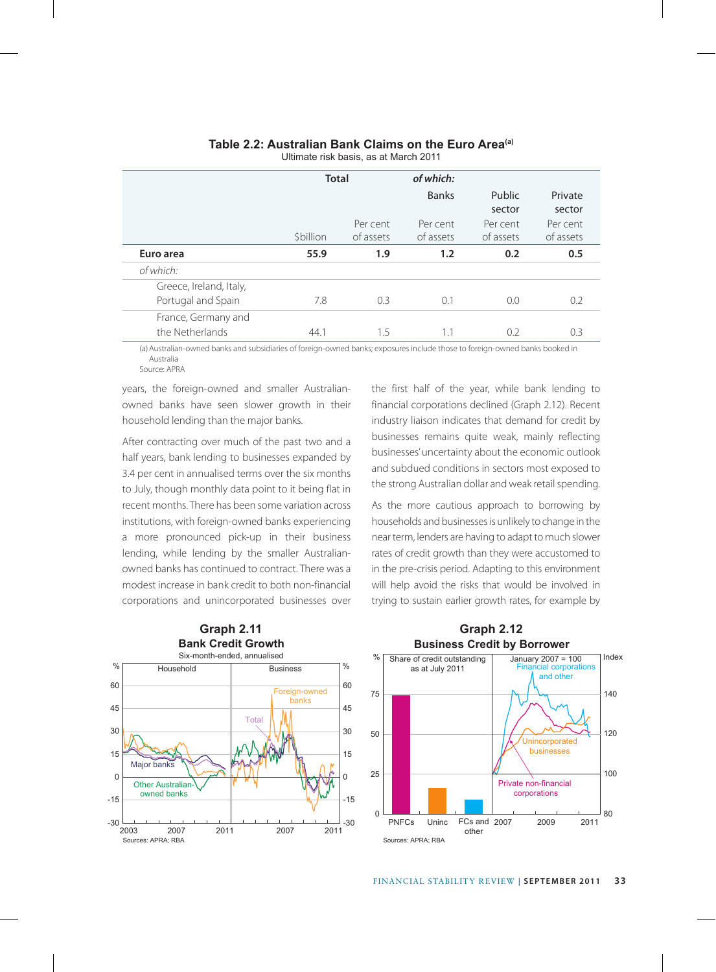|                                               | <b>Total</b> |                       | of which:<br><b>Banks</b> | Public<br>sector      | Private<br>sector     |
|-----------------------------------------------|--------------|-----------------------|---------------------------|-----------------------|-----------------------|
|                                               | \$billion    | Per cent<br>of assets | Per cent<br>of assets     | Per cent<br>of assets | Per cent<br>of assets |
| Euro area                                     | 55.9         | 1.9                   | 1.2                       | 0.2                   | 0.5                   |
| of which:                                     |              |                       |                           |                       |                       |
| Greece, Ireland, Italy,<br>Portugal and Spain | 7.8          | 0.3                   | 0.1                       | 0.0                   | 0.2                   |
| France, Germany and<br>the Netherlands        | 44.1         | 1.5                   | 1.1                       | 0.2                   | 0.3                   |

#### **Table 2.2: Australian Bank Claims on the Euro Area(a)**

Ultimate risk basis, as at March 2011

(a)Australian-owned banks and subsidiaries of foreign-owned banks; exposures include those to foreign-owned banks booked in Australia Source: APRA

years, the foreign-owned and smaller Australianowned banks have seen slower growth in their household lending than the major banks.

After contracting over much of the past two and a half years, bank lending to businesses expanded by 3.4 per cent in annualised terms over the six months to July, though monthly data point to it being flat in recent months. There has been some variation across institutions, with foreign-owned banks experiencing a more pronounced pick-up in their business lending, while lending by the smaller Australianowned banks has continued to contract. There was a modest increase in bank credit to both non-financial corporations and unincorporated businesses over the first half of the year, while bank lending to financial corporations declined (Graph 2.12). Recent industry liaison indicates that demand for credit by businesses remains quite weak, mainly reflecting businesses' uncertainty about the economic outlook and subdued conditions in sectors most exposed to the strong Australian dollar and weak retail spending.

As the more cautious approach to borrowing by households and businesses is unlikely to change in the near term, lenders are having to adapt to much slower rates of credit growth than they were accustomed to in the pre-crisis period. Adapting to this environment will help avoid the risks that would be involved in trying to sustain earlier growth rates, for example by



#### **Business Credit by Borrower Graph 2.12**

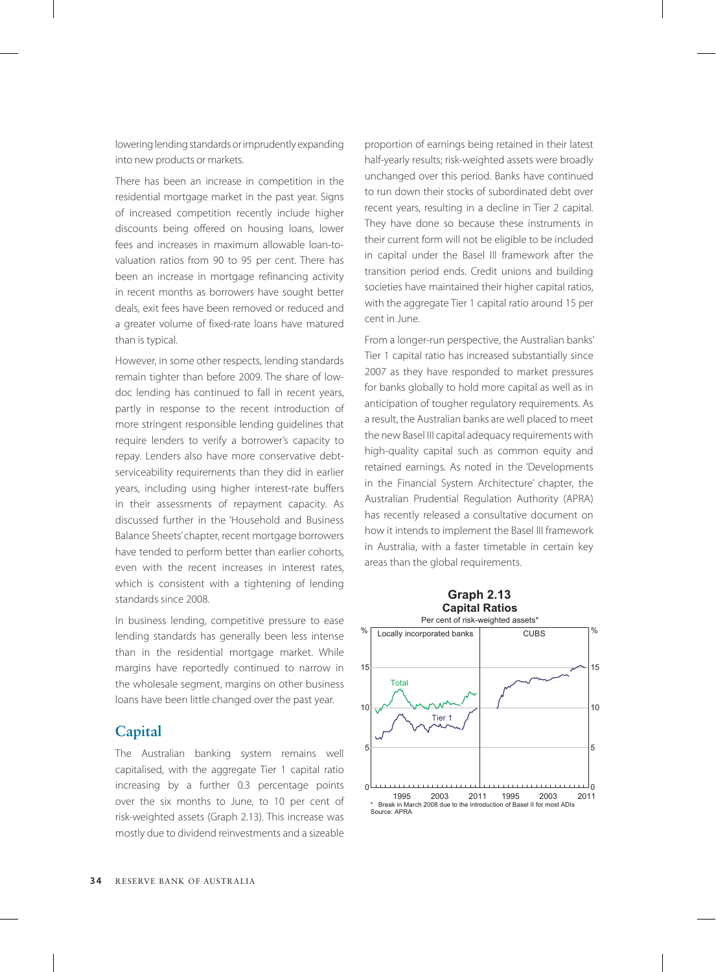lowering lending standards or imprudently expanding into new products or markets.

There has been an increase in competition in the residential mortgage market in the past year. Signs of increased competition recently include higher discounts being offered on housing loans, lower fees and increases in maximum allowable loan-tovaluation ratios from 90 to 95 per cent. There has been an increase in mortgage refinancing activity in recent months as borrowers have sought better deals, exit fees have been removed or reduced and a greater volume of fixed-rate loans have matured than is typical.

However, in some other respects, lending standards remain tighter than before 2009. The share of lowdoc lending has continued to fall in recent years, partly in response to the recent introduction of more stringent responsible lending guidelines that require lenders to verify a borrower's capacity to repay. Lenders also have more conservative debtserviceability requirements than they did in earlier years, including using higher interest-rate buffers in their assessments of repayment capacity. As discussed further in the 'Household and Business Balance Sheets' chapter, recent mortgage borrowers have tended to perform better than earlier cohorts, even with the recent increases in interest rates, which is consistent with a tightening of lending standards since 2008.

In business lending, competitive pressure to ease lending standards has generally been less intense than in the residential mortgage market. While margins have reportedly continued to narrow in the wholesale segment, margins on other business loans have been little changed over the past year.

#### **Capital**

The Australian banking system remains well capitalised, with the aggregate Tier 1 capital ratio increasing by a further 0.3 percentage points over the six months to June, to 10 per cent of risk-weighted assets (Graph 2.13). This increase was mostly due to dividend reinvestments and a sizeable proportion of earnings being retained in their latest half-yearly results; risk-weighted assets were broadly unchanged over this period. Banks have continued to run down their stocks of subordinated debt over recent years, resulting in a decline in Tier 2 capital. They have done so because these instruments in their current form will not be eligible to be included in capital under the Basel III framework after the transition period ends. Credit unions and building societies have maintained their higher capital ratios, with the aggregate Tier 1 capital ratio around 15 per cent in June.

From a longer-run perspective, the Australian banks' Tier 1 capital ratio has increased substantially since 2007 as they have responded to market pressures for banks globally to hold more capital as well as in anticipation of tougher regulatory requirements. As a result, the Australian banks are well placed to meet the new Basel III capital adequacy requirements with high-quality capital such as common equity and retained earnings. As noted in the 'Developments in the Financial System Architecture' chapter, the Australian Prudential Regulation Authority (APRA) has recently released a consultative document on how it intends to implement the Basel III framework in Australia, with a faster timetable in certain key areas than the global requirements.

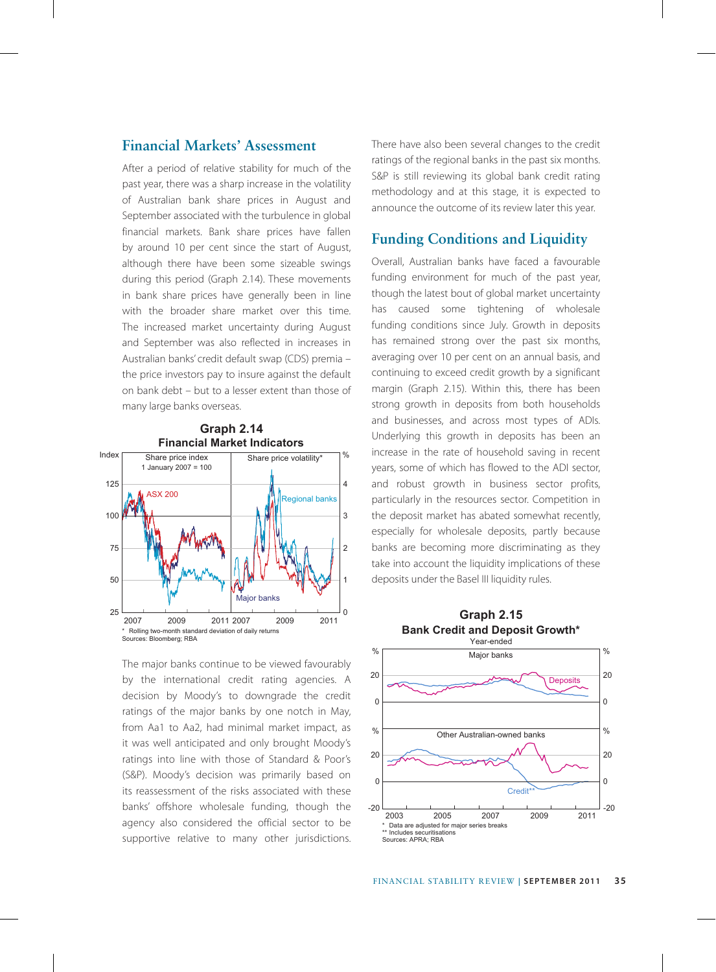#### **Financial Markets' Assessment**

After a period of relative stability for much of the past year, there was a sharp increase in the volatility of Australian bank share prices in August and September associated with the turbulence in global financial markets. Bank share prices have fallen by around 10 per cent since the start of August, although there have been some sizeable swings during this period (Graph 2.14). These movements in bank share prices have generally been in line with the broader share market over this time. The increased market uncertainty during August and September was also reflected in increases in Australian banks' credit default swap (CDS) premia – the price investors pay to insure against the default on bank debt – but to a lesser extent than those of many large banks overseas.



The major banks continue to be viewed favourably by the international credit rating agencies. A decision by Moody's to downgrade the credit ratings of the major banks by one notch in May, from Aa1 to Aa2, had minimal market impact, as it was well anticipated and only brought Moody's ratings into line with those of Standard & Poor's (S&P). Moody's decision was primarily based on its reassessment of the risks associated with these banks' offshore wholesale funding, though the agency also considered the official sector to be supportive relative to many other jurisdictions.

There have also been several changes to the credit ratings of the regional banks in the past six months. S&P is still reviewing its global bank credit rating methodology and at this stage, it is expected to announce the outcome of its review later this year.

#### **Funding Conditions and Liquidity**

Overall, Australian banks have faced a favourable funding environment for much of the past year, though the latest bout of global market uncertainty has caused some tightening of wholesale funding conditions since July. Growth in deposits has remained strong over the past six months, averaging over 10 per cent on an annual basis, and continuing to exceed credit growth by a significant margin (Graph 2.15). Within this, there has been strong growth in deposits from both households and businesses, and across most types of ADIs. Underlying this growth in deposits has been an increase in the rate of household saving in recent years, some of which has flowed to the ADI sector, and robust growth in business sector profits, particularly in the resources sector. Competition in the deposit market has abated somewhat recently, especially for wholesale deposits, partly because banks are becoming more discriminating as they take into account the liquidity implications of these deposits under the Basel III liquidity rules.



# **Graph 2.15**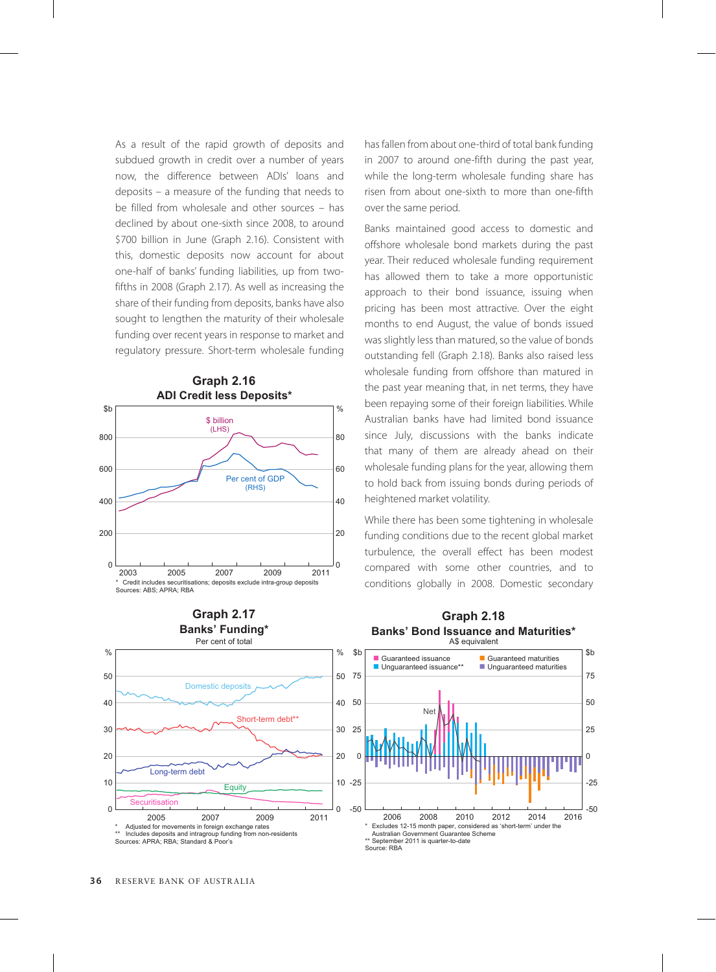As a result of the rapid growth of deposits and subdued growth in credit over a number of years now, the difference between ADIs' loans and deposits – a measure of the funding that needs to be filled from wholesale and other sources – has declined by about one-sixth since 2008, to around \$700 billion in June (Graph 2.16). Consistent with this, domestic deposits now account for about one-half of banks' funding liabilities, up from twofifths in 2008 (Graph 2.17). As well as increasing the share of their funding from deposits, banks have also sought to lengthen the maturity of their wholesale funding over recent years in response to market and regulatory pressure. Short-term wholesale funding





has fallen from about one-third of total bank funding in 2007 to around one-fifth during the past year, while the long-term wholesale funding share has risen from about one-sixth to more than one-fifth over the same period.

Banks maintained good access to domestic and offshore wholesale bond markets during the past year. Their reduced wholesale funding requirement has allowed them to take a more opportunistic approach to their bond issuance, issuing when pricing has been most attractive. Over the eight months to end August, the value of bonds issued was slightly less than matured, so the value of bonds outstanding fell (Graph 2.18). Banks also raised less wholesale funding from offshore than matured in the past year meaning that, in net terms, they have been repaying some of their foreign liabilities. While Australian banks have had limited bond issuance since July, discussions with the banks indicate that many of them are already ahead on their wholesale funding plans for the year, allowing them to hold back from issuing bonds during periods of heightened market volatility.

While there has been some tightening in wholesale funding conditions due to the recent global market turbulence, the overall effect has been modest compared with some other countries, and to conditions globally in 2008. Domestic secondary

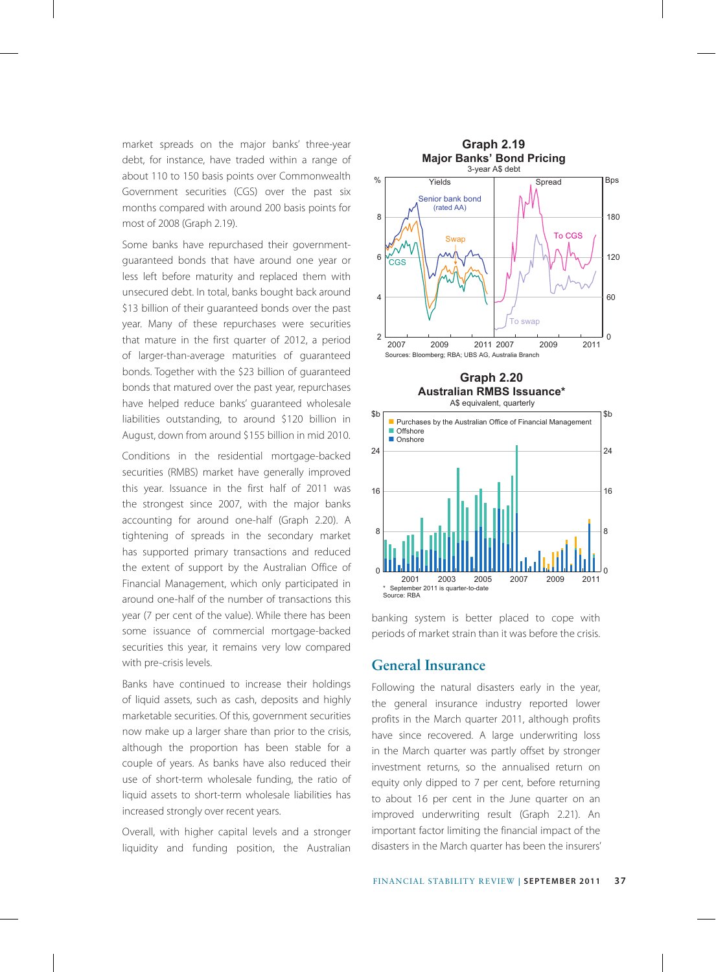market spreads on the major banks' three-year debt, for instance, have traded within a range of about 110 to 150 basis points over Commonwealth Government securities (CGS) over the past six months compared with around 200 basis points for most of 2008 (Graph 2.19).

Some banks have repurchased their governmentguaranteed bonds that have around one year or less left before maturity and replaced them with unsecured debt. In total, banks bought back around \$13 billion of their guaranteed bonds over the past year. Many of these repurchases were securities that mature in the first quarter of 2012, a period of larger-than-average maturities of guaranteed bonds. Together with the \$23 billion of guaranteed bonds that matured over the past year, repurchases have helped reduce banks' guaranteed wholesale liabilities outstanding, to around \$120 billion in August, down from around \$155 billion in mid 2010.

Conditions in the residential mortgage-backed securities (RMBS) market have generally improved this year. Issuance in the first half of 2011 was the strongest since 2007, with the major banks accounting for around one-half (Graph 2.20). A tightening of spreads in the secondary market has supported primary transactions and reduced the extent of support by the Australian Office of Financial Management, which only participated in around one-half of the number of transactions this year (7 per cent of the value). While there has been some issuance of commercial mortgage-backed securities this year, it remains very low compared with pre-crisis levels.

Banks have continued to increase their holdings of liquid assets, such as cash, deposits and highly marketable securities. Of this, government securities now make up a larger share than prior to the crisis, although the proportion has been stable for a couple of years. As banks have also reduced their use of short-term wholesale funding, the ratio of liquid assets to short-term wholesale liabilities has increased strongly over recent years.

Overall, with higher capital levels and a stronger liquidity and funding position, the Australian



banking system is better placed to cope with periods of market strain than it was before the crisis.

#### **General Insurance**

Following the natural disasters early in the year, the general insurance industry reported lower profits in the March quarter 2011, although profits have since recovered. A large underwriting loss in the March quarter was partly offset by stronger investment returns, so the annualised return on equity only dipped to 7 per cent, before returning to about 16 per cent in the June quarter on an improved underwriting result (Graph 2.21). An important factor limiting the financial impact of the disasters in the March quarter has been the insurers'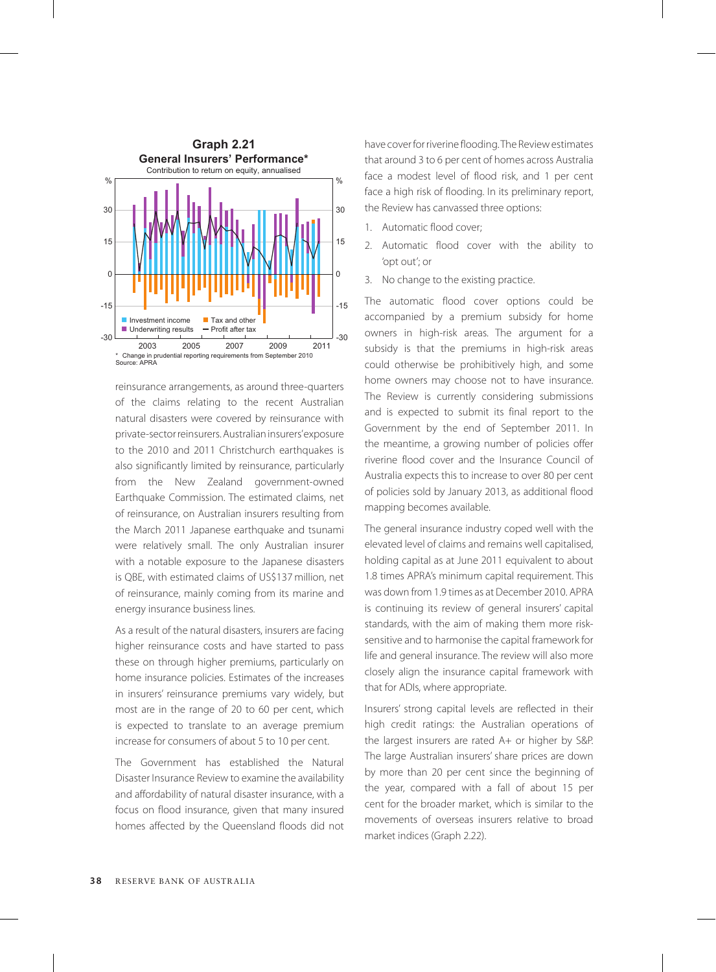

reinsurance arrangements, as around three-quarters of the claims relating to the recent Australian natural disasters were covered by reinsurance with private-sector reinsurers. Australian insurers' exposure to the 2010 and 2011 Christchurch earthquakes is also significantly limited by reinsurance, particularly from the New Zealand government-owned Earthquake Commission. The estimated claims, net of reinsurance, on Australian insurers resulting from the March 2011 Japanese earthquake and tsunami were relatively small. The only Australian insurer with a notable exposure to the Japanese disasters is QBE, with estimated claims of US\$137 million, net of reinsurance, mainly coming from its marine and energy insurance business lines.

As a result of the natural disasters, insurers are facing higher reinsurance costs and have started to pass these on through higher premiums, particularly on home insurance policies. Estimates of the increases in insurers' reinsurance premiums vary widely, but most are in the range of 20 to 60 per cent, which is expected to translate to an average premium increase for consumers of about 5 to 10 per cent.

The Government has established the Natural Disaster Insurance Review to examine the availability and affordability of natural disaster insurance, with a focus on flood insurance, given that many insured homes affected by the Queensland floods did not have cover for riverine flooding. The Review estimates that around 3 to 6 per cent of homes across Australia face a modest level of flood risk, and 1 per cent face a high risk of flooding. In its preliminary report, the Review has canvassed three options:

- 1. Automatic flood cover;
- 2. Automatic flood cover with the ability to 'opt out'; or
- 3. No change to the existing practice.

The automatic flood cover options could be accompanied by a premium subsidy for home owners in high-risk areas. The argument for a subsidy is that the premiums in high-risk areas could otherwise be prohibitively high, and some home owners may choose not to have insurance. The Review is currently considering submissions and is expected to submit its final report to the Government by the end of September 2011. In the meantime, a growing number of policies offer riverine flood cover and the Insurance Council of Australia expects this to increase to over 80 per cent of policies sold by January 2013, as additional flood mapping becomes available.

The general insurance industry coped well with the elevated level of claims and remains well capitalised, holding capital as at June 2011 equivalent to about 1.8 times APRA's minimum capital requirement. This was down from 1.9 times as at December 2010. APRA is continuing its review of general insurers' capital standards, with the aim of making them more risksensitive and to harmonise the capital framework for life and general insurance. The review will also more closely align the insurance capital framework with that for ADIs, where appropriate.

Insurers' strong capital levels are reflected in their high credit ratings: the Australian operations of the largest insurers are rated A+ or higher by S&P. The large Australian insurers' share prices are down by more than 20 per cent since the beginning of the year, compared with a fall of about 15 per cent for the broader market, which is similar to the movements of overseas insurers relative to broad market indices (Graph 2.22).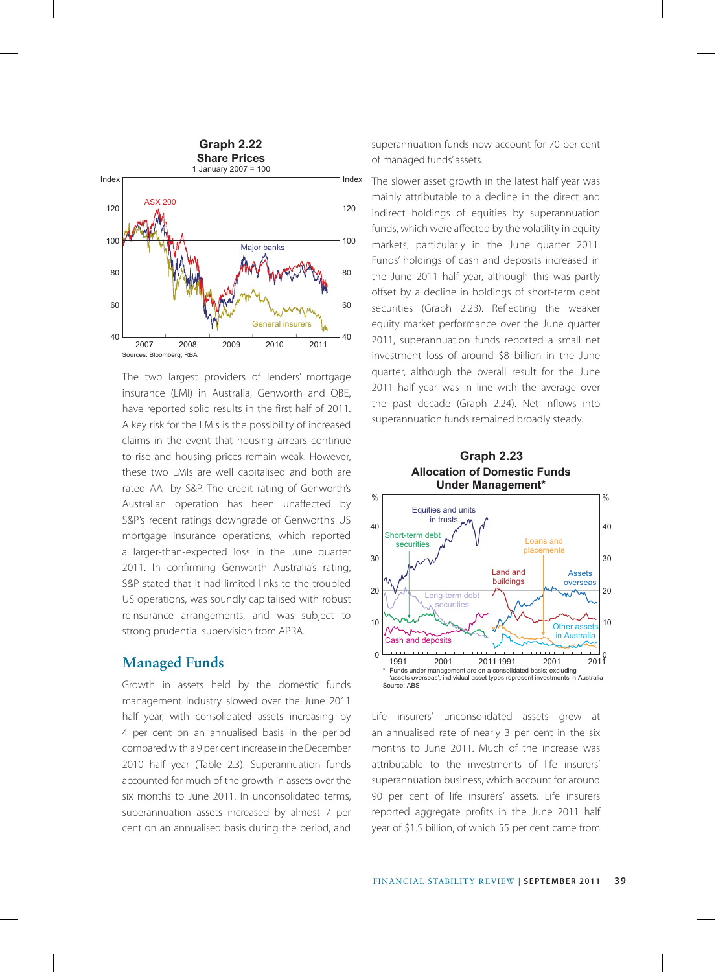

The two largest providers of lenders' mortgage insurance (LMI) in Australia, Genworth and QBE, have reported solid results in the first half of 2011. A key risk for the LMIs is the possibility of increased claims in the event that housing arrears continue to rise and housing prices remain weak. However, these two LMIs are well capitalised and both are rated AA- by S&P. The credit rating of Genworth's Australian operation has been unaffected by S&P's recent ratings downgrade of Genworth's US mortgage insurance operations, which reported a larger-than-expected loss in the June quarter 2011. In confirming Genworth Australia's rating, S&P stated that it had limited links to the troubled US operations, was soundly capitalised with robust reinsurance arrangements, and was subject to strong prudential supervision from APRA.

#### **Managed Funds**

Growth in assets held by the domestic funds management industry slowed over the June 2011 half year, with consolidated assets increasing by 4 per cent on an annualised basis in the period compared with a 9 per cent increase in the December 2010 half year (Table 2.3). Superannuation funds accounted for much of the growth in assets over the six months to June 2011. In unconsolidated terms, superannuation assets increased by almost 7 per cent on an annualised basis during the period, and superannuation funds now account for 70 per cent of managed funds' assets.

The slower asset growth in the latest half year was mainly attributable to a decline in the direct and indirect holdings of equities by superannuation funds, which were affected by the volatility in equity markets, particularly in the June quarter 2011. Funds' holdings of cash and deposits increased in the June 2011 half year, although this was partly offset by a decline in holdings of short-term debt securities (Graph 2.23). Reflecting the weaker equity market performance over the June quarter 2011, superannuation funds reported a small net investment loss of around \$8 billion in the June quarter, although the overall result for the June 2011 half year was in line with the average over the past decade (Graph 2.24). Net inflows into superannuation funds remained broadly steady.





Life insurers' unconsolidated assets grew at an annualised rate of nearly 3 per cent in the six months to June 2011. Much of the increase was attributable to the investments of life insurers' superannuation business, which account for around 90 per cent of life insurers' assets. Life insurers reported aggregate profits in the June 2011 half year of \$1.5 billion, of which 55 per cent came from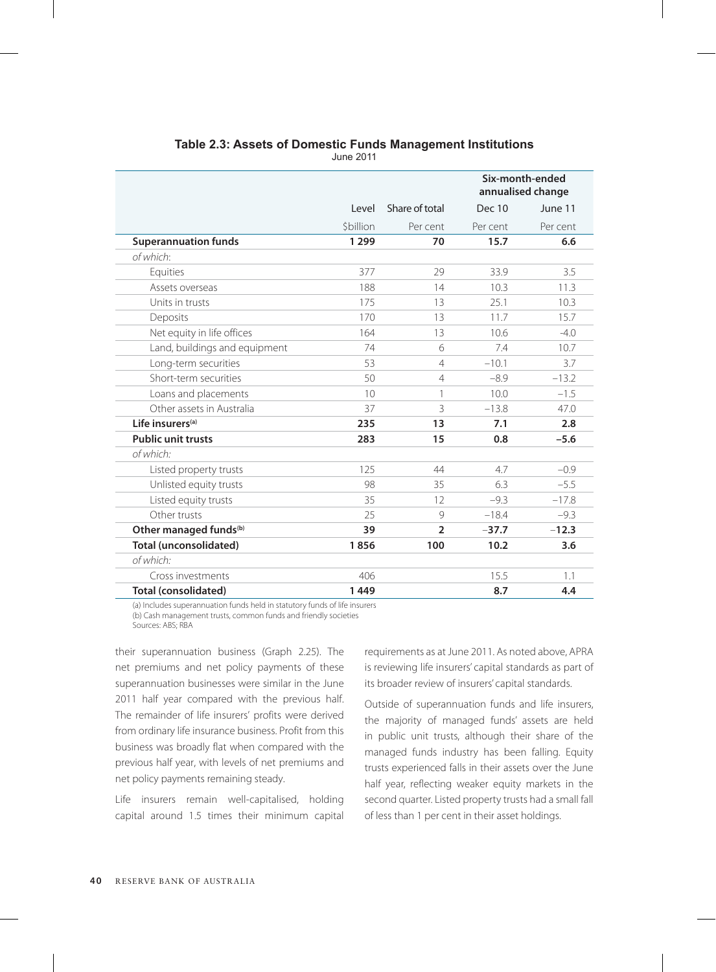|                                    |           |                | Six-month-ended<br>annualised change |          |  |
|------------------------------------|-----------|----------------|--------------------------------------|----------|--|
|                                    | Level     | Share of total | <b>Dec 10</b>                        | June 11  |  |
|                                    | \$billion | Per cent       | Per cent                             | Per cent |  |
| <b>Superannuation funds</b>        | 1 2 9 9   | 70             | 15.7                                 | 6.6      |  |
| of which:                          |           |                |                                      |          |  |
| Equities                           | 377       | 29             | 33.9                                 | 3.5      |  |
| Assets overseas                    | 188       | 14             | 10.3                                 | 11.3     |  |
| Units in trusts                    | 175       | 13             | 25.1                                 | 10.3     |  |
| Deposits                           | 170       | 13             | 11.7                                 | 15.7     |  |
| Net equity in life offices         | 164       | 13             | 10.6                                 | $-4.0$   |  |
| Land, buildings and equipment      | 74        | 6              | 7.4                                  | 10.7     |  |
| Long-term securities               | 53        | $\overline{4}$ | $-10.1$                              | 3.7      |  |
| Short-term securities              | 50        | $\overline{4}$ | $-8.9$                               | $-13.2$  |  |
| Loans and placements               | 10        | 1              | 10.0                                 | $-1.5$   |  |
| Other assets in Australia          | 37        | 3              | $-13.8$                              | 47.0     |  |
| Life insurers <sup>(a)</sup>       | 235       | 13             | 7.1                                  | 2.8      |  |
| <b>Public unit trusts</b>          | 283       | 15             | 0.8                                  | $-5.6$   |  |
| of which:                          |           |                |                                      |          |  |
| Listed property trusts             | 125       | 44             | 4.7                                  | $-0.9$   |  |
| Unlisted equity trusts             | 98        | 35             | 6.3                                  | $-5.5$   |  |
| Listed equity trusts               | 35        | 12             | $-9.3$                               | $-17.8$  |  |
| Other trusts                       | 25        | 9              | $-18.4$                              | $-9.3$   |  |
| Other managed funds <sup>(b)</sup> | 39        | $\overline{2}$ | $-37.7$                              | $-12.3$  |  |
| <b>Total (unconsolidated)</b>      | 1856      | 100            | 10.2                                 | 3.6      |  |
| of which:                          |           |                |                                      |          |  |
| Cross investments                  | 406       |                | 15.5                                 | 1.1      |  |
| <b>Total (consolidated)</b>        | 1449      |                | 8.7                                  | 4.4      |  |

#### **Table 2.3: Assets of Domestic Funds Management Institutions**

June 2011

(a) Includes superannuation funds held in statutory funds of life insurers (b) Cash management trusts, common funds and friendly societies Sources: ABS; RBA

their superannuation business (Graph 2.25). The net premiums and net policy payments of these superannuation businesses were similar in the June 2011 half year compared with the previous half. The remainder of life insurers' profits were derived from ordinary life insurance business. Profit from this business was broadly flat when compared with the previous half year, with levels of net premiums and net policy payments remaining steady.

Life insurers remain well-capitalised, holding capital around 1.5 times their minimum capital requirements as at June 2011. As noted above, APRA is reviewing life insurers' capital standards as part of its broader review of insurers' capital standards.

Outside of superannuation funds and life insurers, the majority of managed funds' assets are held in public unit trusts, although their share of the managed funds industry has been falling. Equity trusts experienced falls in their assets over the June half year, reflecting weaker equity markets in the second quarter. Listed property trusts had a small fall of less than 1 per cent in their asset holdings.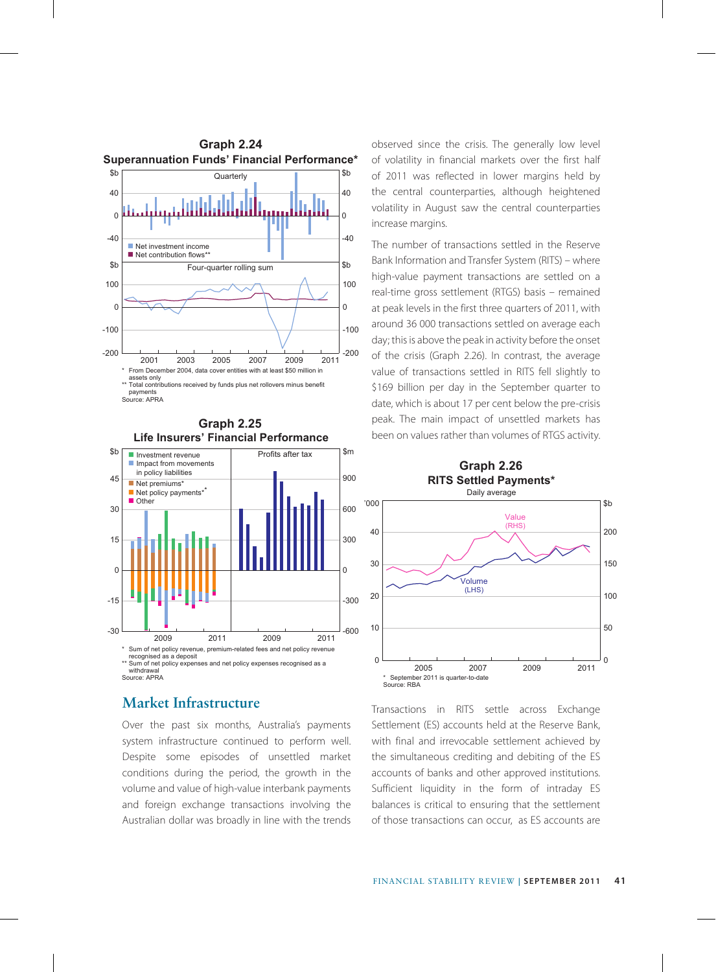



### **Market Infrastructure**

Over the past six months, Australia's payments system infrastructure continued to perform well. Despite some episodes of unsettled market conditions during the period, the growth in the volume and value of high-value interbank payments and foreign exchange transactions involving the Australian dollar was broadly in line with the trends observed since the crisis. The generally low level of volatility in financial markets over the first half of 2011 was reflected in lower margins held by the central counterparties, although heightened volatility in August saw the central counterparties increase margins.

The number of transactions settled in the Reserve Bank Information and Transfer System (RITS) – where high-value payment transactions are settled on a real-time gross settlement (RTGS) basis – remained at peak levels in the first three quarters of 2011, with around 36 000 transactions settled on average each day; this is above the peak in activity before the onset of the crisis (Graph 2.26). In contrast, the average value of transactions settled in RITS fell slightly to \$169 billion per day in the September quarter to date, which is about 17 per cent below the pre-crisis peak. The main impact of unsettled markets has been on values rather than volumes of RTGS activity.



Transactions in RITS settle across Exchange Settlement (ES) accounts held at the Reserve Bank, with final and irrevocable settlement achieved by the simultaneous crediting and debiting of the ES accounts of banks and other approved institutions. Sufficient liquidity in the form of intraday ES balances is critical to ensuring that the settlement of those transactions can occur, as ES accounts are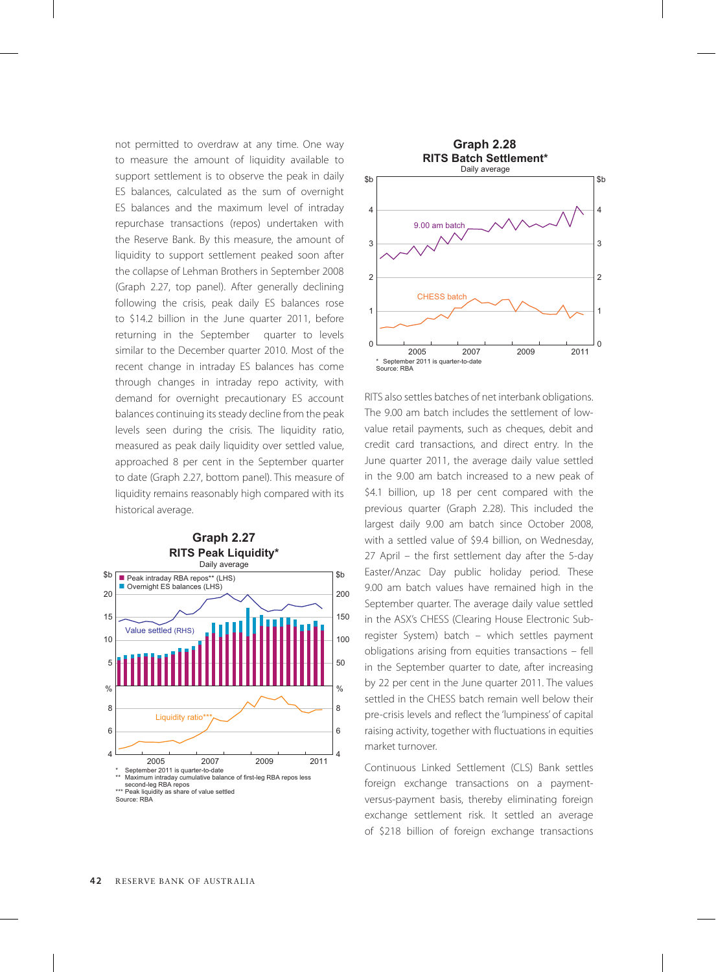not permitted to overdraw at any time. One way to measure the amount of liquidity available to support settlement is to observe the peak in daily ES balances, calculated as the sum of overnight ES balances and the maximum level of intraday repurchase transactions (repos) undertaken with the Reserve Bank. By this measure, the amount of liquidity to support settlement peaked soon after the collapse of Lehman Brothers in September 2008 (Graph 2.27, top panel). After generally declining following the crisis, peak daily ES balances rose to \$14.2 billion in the June quarter 2011, before returning in the September quarter to levels similar to the December quarter 2010. Most of the recent change in intraday ES balances has come through changes in intraday repo activity, with demand for overnight precautionary ES account balances continuing its steady decline from the peak levels seen during the crisis. The liquidity ratio, measured as peak daily liquidity over settled value, approached 8 per cent in the September quarter to date (Graph 2.27, bottom panel). This measure of liquidity remains reasonably high compared with its historical average.





RITS also settles batches of net interbank obligations. The 9.00 am batch includes the settlement of lowvalue retail payments, such as cheques, debit and credit card transactions, and direct entry. In the June quarter 2011, the average daily value settled in the 9.00 am batch increased to a new peak of \$4.1 billion, up 18 per cent compared with the previous quarter (Graph 2.28). This included the largest daily 9.00 am batch since October 2008, with a settled value of \$9.4 billion, on Wednesday, 27 April – the first settlement day after the 5-day Easter/Anzac Day public holiday period. These 9.00 am batch values have remained high in the September quarter. The average daily value settled in the ASX's CHESS (Clearing House Electronic Subregister System) batch – which settles payment obligations arising from equities transactions – fell in the September quarter to date, after increasing by 22 per cent in the June quarter 2011. The values settled in the CHESS batch remain well below their pre-crisis levels and reflect the 'lumpiness' of capital raising activity, together with fluctuations in equities market turnover.

Continuous Linked Settlement (CLS) Bank settles foreign exchange transactions on a paymentversus-payment basis, thereby eliminating foreign exchange settlement risk. It settled an average of \$218 billion of foreign exchange transactions